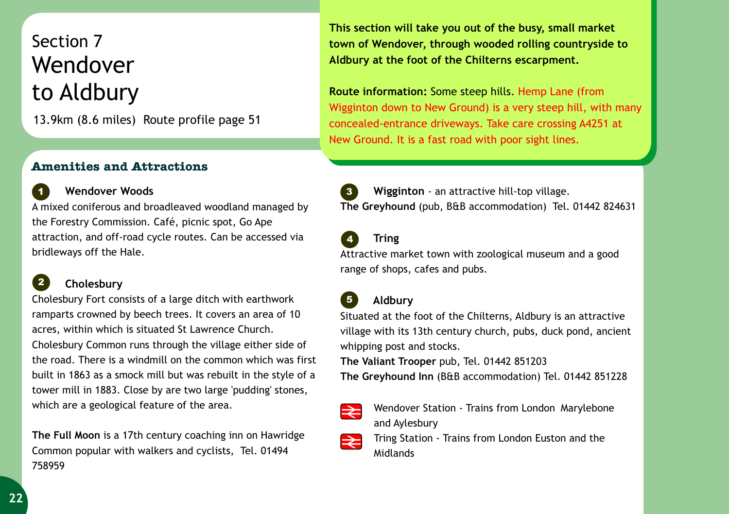# Section 7 Wendover to Aldbury

13.9km (8.6 miles) Route profile page 51

### **Amenities and Attractions**

 **Wendover Woods** A mixed coniferous and broadleaved woodland managed by the Forestry Commission. Café, picnic spot, Go Ape attraction, and off-road cycle routes. Can be accessed via bridleways off the Hale. **1**

#### **Cholesbury 2**

Cholesbury Fort consists of a large ditch with earthwork ramparts crowned by beech trees. It covers an area of 10 acres, within which is situated St Lawrence Church. Cholesbury Common runs through the village either side of the road. There is a windmill on the common which was first built in 1863 as a smock mill but was rebuilt in the style of a tower mill in 1883. Close by are two large 'pudding' stones, which are a geological feature of the area.

**The Full Moon** is a 17th century coaching inn on Hawridge Common popular with walkers and cyclists, Tel. 01494 758959

**This section will take you out of the busy, small market town of Wendover, through wooded rolling countryside to Aldbury at the foot of the Chilterns escarpment.** 

**Route information:** Some steep hills. Hemp Lane (from Wigginton down to New Ground) is a very steep hill, with many concealed-entrance driveways. Take care crossing A4251 at New Ground. It is a fast road with poor sight lines.



 **Wigginton** - an attractive hill-top village. **The Greyhound** (pub, B&B accommodation) Tel. 01442 824631 **3**

## **Tring**

**4**

Attractive market town with zoological museum and a good range of shops, cafes and pubs.

#### **Aldbury 5**

Situated at the foot of the Chilterns, Aldbury is an attractive village with its 13th century church, pubs, duck pond, ancient whipping post and stocks.

**The Valiant Trooper** pub, Tel. 01442 851203

**The Greyhound Inn** (B&B accommodation) Tel. 01442 851228



Wendover Station - Trains from London Marylebone and Aylesbury

Tring Station - Trains from London Euston and the |≳ Midlands